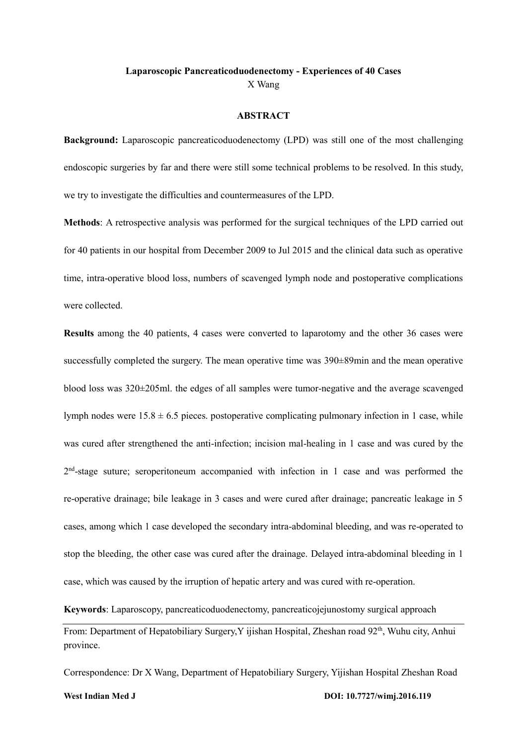## **Laparoscopic Pancreaticoduodenectomy - Experiences of 40 Cases** X Wang

#### **ABSTRACT**

**Background:** Laparoscopic pancreaticoduodenectomy (LPD) was still one of the most challenging endoscopic surgeries by far and there were still some technical problems to be resolved. In this study, we try to investigate the difficulties and countermeasures of the LPD.

**Methods**: A retrospective analysis was performed for the surgical techniques of the LPD carried out for 40 patients in our hospital from December 2009 to Jul 2015 and the clinical data such as operative time, intra-operative blood loss, numbers of scavenged lymph node and postoperative complications were collected.

**Results** among the 40 patients, 4 cases were converted to laparotomy and the other 36 cases were successfully completed the surgery. The mean operative time was  $390\pm89$ min and the mean operative blood loss was 320±205ml. the edges of all samples were tumor-negative and the average scavenged lymph nodes were  $15.8 \pm 6.5$  pieces. postoperative complicating pulmonary infection in 1 case, while was cured after strengthened the anti-infection; incision mal-healing in 1 case and was cured by the 2<sup>nd</sup>-stage suture; seroperitoneum accompanied with infection in 1 case and was performed the re-operative drainage; bile leakage in 3 cases and were cured after drainage; pancreatic leakage in 5 cases, among which 1 case developed the secondary intra-abdominal bleeding, and was re-operated to stop the bleeding, the other case was cured after the drainage. Delayed intra-abdominal bleeding in 1 case, which was caused by the irruption of hepatic artery and was cured with re-operation.

**Keywords**: Laparoscopy, pancreaticoduodenectomy, pancreaticojejunostomy surgical approach

From: Department of Hepatobiliary Surgery, Y ijishan Hospital, Zheshan road 92<sup>th</sup>, Wuhu city, Anhui province.

Correspondence: Dr X Wang, Department of Hepatobiliary Surgery, Yijishan Hospital Zheshan Road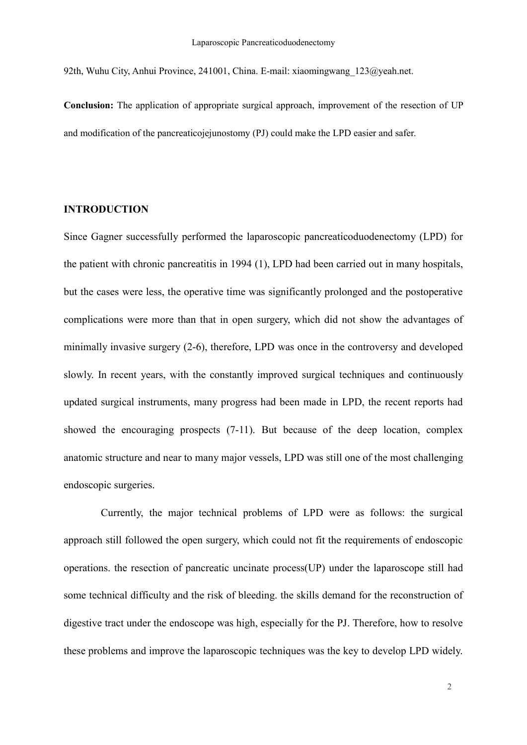92th, Wuhu City, Anhui Province, 241001, China. E-mail: xiaomingwang\_123@yeah.net.

**Conclusion:** The application of appropriate surgical approach, improvement of the resection of UP and modification of the pancreaticojejunostomy (PJ) could make the LPD easier and safer.

# **INTRODUCTION**

Since Gagner successfully performed the laparoscopic pancreaticoduodenectomy (LPD) for the patient with chronic pancreatitis in 1994 (1), LPD had been carried out in many hospitals, but the cases were less, the operative time was significantly prolonged and the postoperative complications were more than that in open surgery, which did not show the advantages of minimally invasive surgery (2-6), therefore, LPD was once in the controversy and developed slowly. In recent years, with the constantly improved surgical techniques and continuously updated surgical instruments, many progress had been made in LPD, the recent reports had showed the encouraging prospects (7-11). But because of the deep location, complex anatomic structure and near to many major vessels, LPD was still one of the most challenging endoscopic surgeries.

Currently, the major technical problems of LPD were as follows: the surgical approach still followed the open surgery, which could not fit the requirements of endoscopic operations. the resection of pancreatic uncinate process(UP) under the laparoscope still had some technical difficulty and the risk of bleeding. the skills demand for the reconstruction of digestive tract under the endoscope was high, especially for the PJ. Therefore, how to resolve these problems and improve the laparoscopic techniques was the key to develop LPD widely.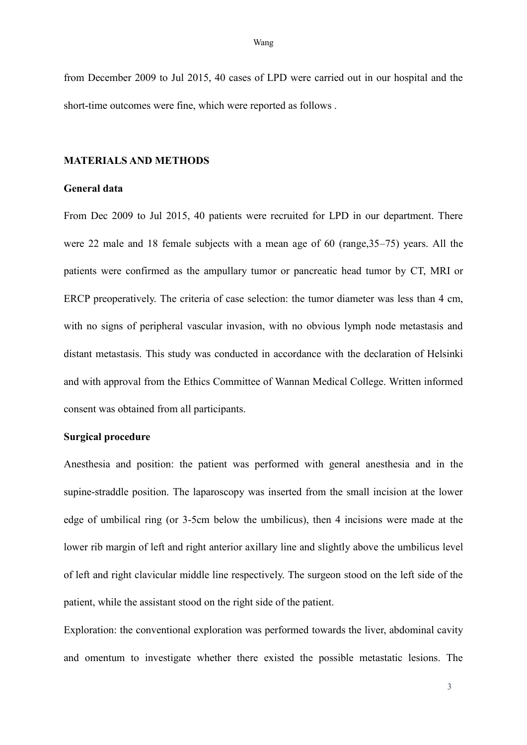from December 2009 to Jul 2015, 40 cases of LPD were carried out in our hospital and the short-time outcomes were fine, which were reported as follows .

### **MATERIALS AND METHODS**

#### **General data**

From Dec 2009 to Jul 2015, 40 patients were recruited for LPD in our department. There were 22 male and 18 female subjects with a mean age of 60 (range,35–75) years. All the patients were confirmed as the ampullary tumor or pancreatic head tumor by CT, MRI or ERCP preoperatively. The criteria of case selection: the tumor diameter was less than 4 cm, with no signs of peripheral vascular invasion, with no obvious lymph node metastasis and distant metastasis. This study was conducted in accordance with the declaration of Helsinki and with approval from the Ethics Committee of Wannan Medical College. Written informed consent was obtained from all participants.

### **Surgical procedure**

Anesthesia and position: the patient was performed with general anesthesia and in the supine-straddle position. The laparoscopy was inserted from the small incision at the lower edge of umbilical ring (or 3-5cm below the umbilicus), then 4 incisions were made at the lower rib margin of left and right anterior axillary line and slightly above the umbilicus level of left and right clavicular middle line respectively. The surgeon stood on the left side of the patient, while the assistant stood on the right side of the patient.

Exploration: the conventional exploration was performed towards the liver, abdominal cavity and omentum to investigate whether there existed the possible metastatic lesions. The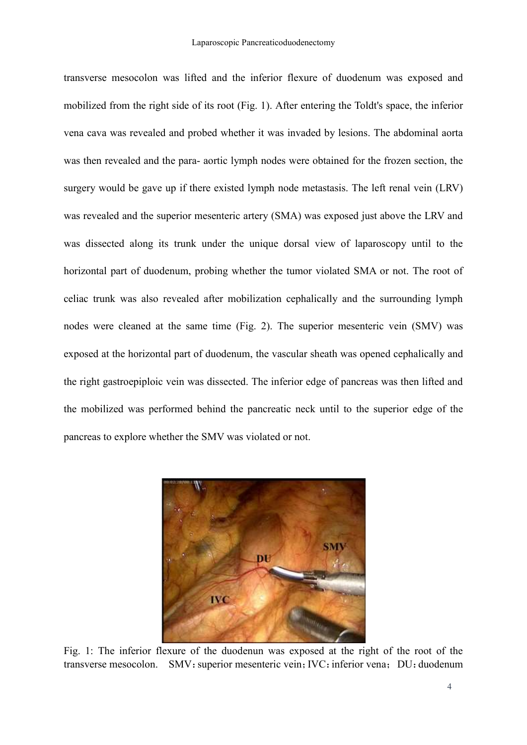transverse mesocolon was lifted and the inferior flexure of duodenum was exposed and mobilized from the right side of its root (Fig. 1). After entering the Toldt's space, the inferior vena cava was revealed and probed whether it was invaded by lesions. The abdominal aorta was then revealed and the para- aortic lymph nodes were obtained for the frozen section, the surgery would be gave up if there existed lymph node metastasis. The left renal vein (LRV) was revealed and the superior mesenteric artery (SMA) was exposed just above the LRV and was dissected along its trunk under the unique dorsal view of laparoscopy until to the horizontal part of duodenum, probing whether the tumor violated SMA or not. The root of celiac trunk was also revealed after mobilization cephalically and the surrounding lymph nodes were cleaned at the same time (Fig. 2). The superior mesenteric vein (SMV) was exposed at the horizontal part of duodenum, the vascular sheath was opened cephalically and the right gastroepiploic vein was dissected. The inferior edge of pancreas was then lifted and the mobilized was performed behind the pancreatic neck until to the superior edge of the pancreas to explore whether the SMV was violated or not.



Fig. 1: The inferior flexure of the duodenun was exposed at the right of the root of the transverse mesocolon. SMV: superior mesenteric vein; IVC: inferior vena; DU: duodenum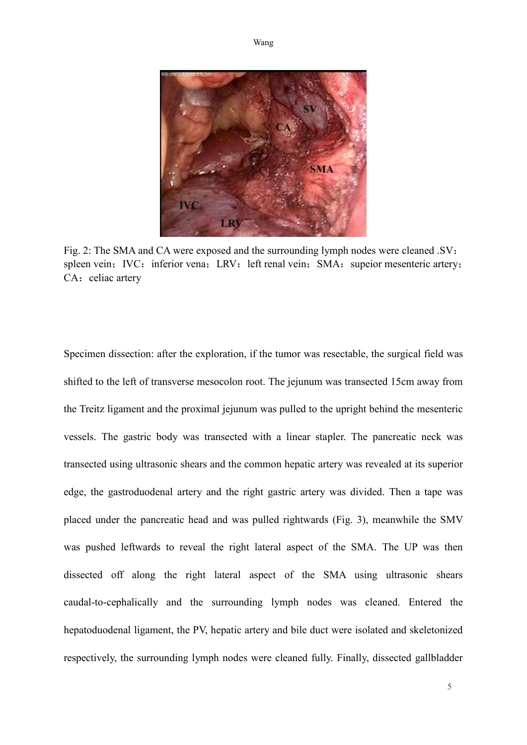



Fig. 2: The SMA and CA were exposed and the surrounding lymph nodes were cleaned .SV: spleen vein; IVC: inferior vena; LRV: left renal vein; SMA: supeior mesenteric artery; CA: celiac artery

Specimen dissection: after the exploration, if the tumor was resectable, the surgical field was shifted to the left of transverse mesocolon root. The jejunum was transected 15cm away from the Treitz ligament and the proximal jejunum was pulled to the upright behind the mesenteric vessels. The gastric body was transected with a linear stapler. The pancreatic neck was transected using ultrasonic shears and the common hepatic artery was revealed at its superior edge, the gastroduodenal artery and the right gastric artery was divided. Then a tape was placed under the pancreatic head and was pulled rightwards (Fig. 3), meanwhile the SMV was pushed leftwards to reveal the right lateral aspect of the SMA. The UP was then dissected off along the right lateral aspect of the SMA using ultrasonic shears caudal-to-cephalically and the surrounding lymph nodes was cleaned. Entered the hepatoduodenal ligament, the PV, hepatic artery and bile duct were isolated and skeletonized respectively, the surrounding lymph nodes were cleaned fully. Finally, dissected gallbladder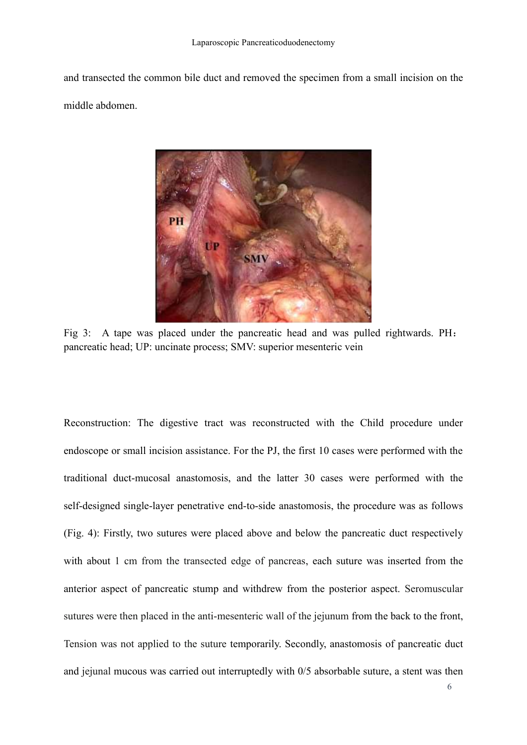and transected the common bile duct and removed the specimen from a small incision on the middle abdomen.



Fig 3: A tape was placed under the pancreatic head and was pulled rightwards. PH: pancreatic head; UP: uncinate process; SMV: superior mesenteric vein

Reconstruction: The digestive tract was reconstructed with the Child procedure under endoscope or small incision assistance. For the PJ, the first 10 cases were performed with the traditional duct-mucosal anastomosis, and the latter 30 cases were performed with the self-designed single-layer penetrative end-to-side anastomosis, the procedure was as follows (Fig. 4): Firstly, two sutures were placed above and below the pancreatic duct respectively with about 1 cm from the transected edge of pancreas, each suture was inserted from the anterior aspect of pancreatic stump and withdrew from the posterior aspect. Seromuscular sutures were then placed in the anti-mesenteric wall of the jejunum from the back to the front, Tension was not applied to the suture temporarily. Secondly, anastomosis of pancreatic duct and jejunal mucous was carried out interruptedly with 0/5 absorbable suture, a stent was then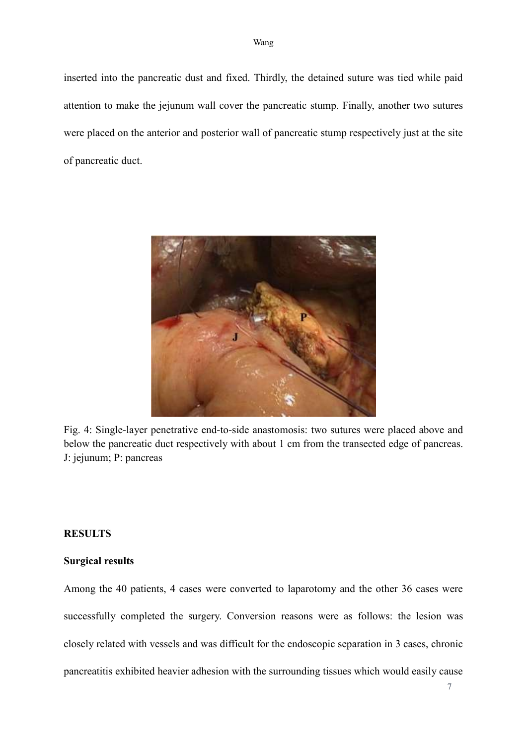inserted into the pancreatic dust and fixed. Thirdly, the detained suture was tied while paid attention to make the jejunum wall cover the pancreatic stump. Finally, another two sutures were placed on the anterior and posterior wall of pancreatic stump respectively just at the site of pancreatic duct.



Fig. 4: Single-layer penetrative end-to-side anastomosis: two sutures were placed above and below the pancreatic duct respectively with about 1 cm from the transected edge of pancreas. J: jejunum; P: pancreas

## **RESULTS**

### **Surgical results**

Among the 40 patients, 4 cases were converted to laparotomy and the other 36 cases were successfully completed the surgery. Conversion reasons were as follows: the lesion was closely related with vessels and was difficult for the endoscopic separation in 3 cases, chronic pancreatitis exhibited heavier adhesion with the surrounding tissues which would easily cause

7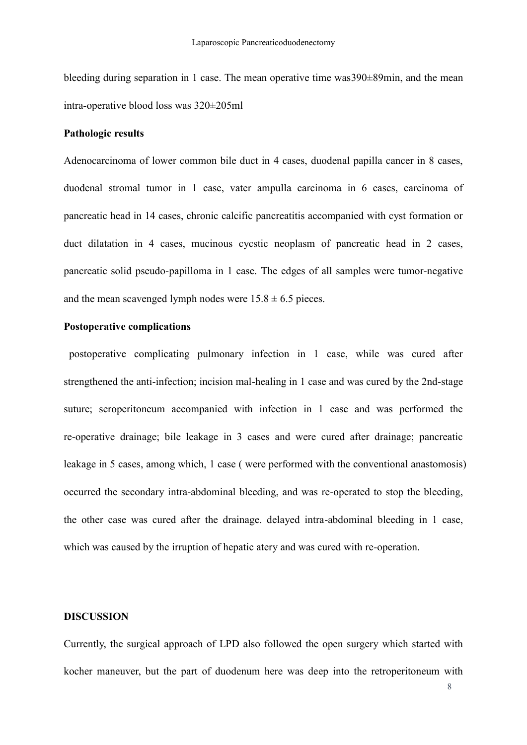bleeding during separation in 1 case. The mean operative time was390±89min, and the mean intra-operative blood loss was 320±205ml

# **Pathologic results**

Adenocarcinoma of lower common bile duct in 4 cases, duodenal papilla cancer in 8 cases, duodenal stromal tumor in 1 case, vater ampulla carcinoma in 6 cases, carcinoma of pancreatic head in 14 cases, chronic calcific pancreatitis accompanied with cyst formation or duct dilatation in 4 cases, mucinous cycstic neoplasm of pancreatic head in 2 cases, pancreatic solid pseudo-papilloma in 1 case. The edges of all samples were tumor-negative and the mean scavenged lymph nodes were  $15.8 \pm 6.5$  pieces.

# **Postoperative complications**

postoperative complicating pulmonary infection in 1 case, while was cured after strengthened the anti-infection; incision mal-healing in 1 case and was cured by the 2nd-stage suture; seroperitoneum accompanied with infection in 1 case and was performed the re-operative drainage; bile leakage in 3 cases and were cured after drainage; pancreatic leakage in 5 cases, among which, 1 case ( were performed with the conventional anastomosis) occurred the secondary intra-abdominal bleeding, and was re-operated to stop the bleeding, the other case was cured after the drainage. delayed intra-abdominal bleeding in 1 case, which was caused by the irruption of hepatic atery and was cured with re-operation.

#### **DISCUSSION**

Currently, the surgical approach of LPD also followed the open surgery which started with kocher maneuver, but the part of duodenum here was deep into the retroperitoneum with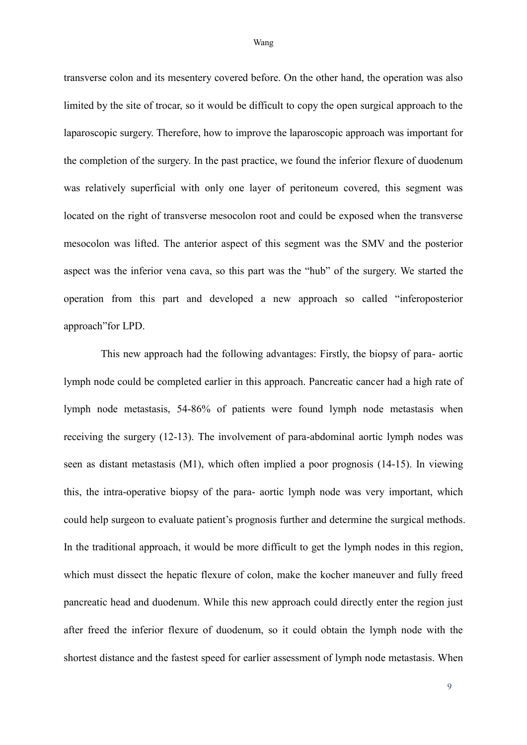transverse colon and its mesentery covered before. On the other hand, the operation was also limited by the site of trocar, so it would be difficult to copy the open surgical approach to the laparoscopic surgery. Therefore, how to improve the laparoscopic approach was important for the completion of the surgery. In the past practice, we found the inferior flexure of duodenum was relatively superficial with only one layer of peritoneum covered, this segment was located on the right of transverse mesocolon root and could be exposed when the transverse mesocolon was lifted. The anterior aspect of this segment was the SMV and the posterior aspect was the inferior vena cava, so this part was the "hub" of the surgery. We started the operation from this part and developed a new approach so called "inferoposterior approach"for LPD.

This new approach had the following advantages: Firstly, the biopsy of para- aortic lymph node could be completed earlier in this approach. Pancreatic cancer had a high rate of lymph node metastasis, 54-86% of patients were found lymph node metastasis when receiving the surgery (12-13). The involvement of para-abdominal aortic lymph nodes was seen as distant metastasis (M1), which often implied a poor prognosis (14-15). In viewing this, the intra-operative biopsy of the para- aortic lymph node was very important, which could help surgeon to evaluate patient's prognosis further and determine the surgical methods. In the traditional approach, it would be more difficult to get the lymph nodes in this region, which must dissect the hepatic flexure of colon, make the kocher maneuver and fully freed pancreatic head and duodenum. While this new approach could directly enter the region just after freed the inferior flexure of duodenum, so it could obtain the lymph node with the shortest distance and the fastest speed for earlier assessment of lymph node metastasis. When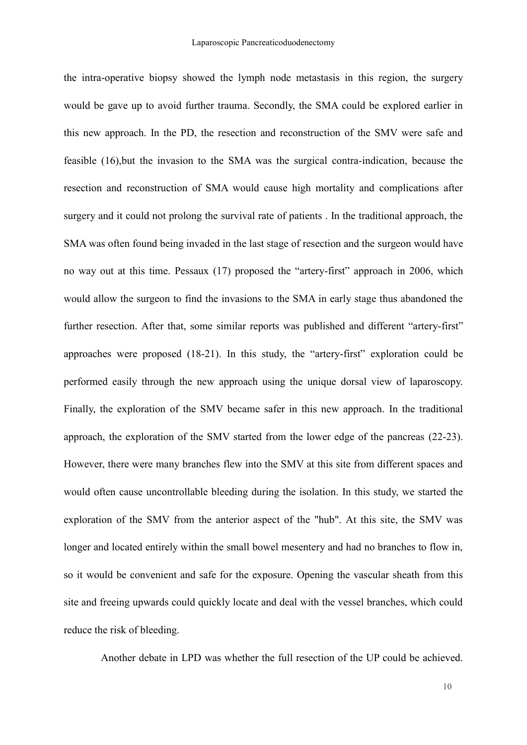the intra-operative biopsy showed the lymph node metastasis in this region, the surgery would be gave up to avoid further trauma. Secondly, the SMA could be explored earlier in this new approach. In the PD, the resection and reconstruction of the SMV were safe and feasible (16),but the invasion to the SMA was the surgical contra-indication, because the resection and reconstruction of SMA would cause high mortality and complications after surgery and it could not prolong the survival rate of patients . In the traditional approach, the SMA was often found being invaded in the last stage of resection and the surgeon would have no way out at this time. Pessaux (17) proposed the "artery-first" approach in 2006, which would allow the surgeon to find the invasions to the SMA in early stage thus abandoned the further resection. After that, some similar reports was published and different "artery-first" approaches were proposed (18-21). In this study, the "artery-first" exploration could be performed easily through the new approach using the unique dorsal view of laparoscopy. Finally, the exploration of the SMV became safer in this new approach. In the traditional approach, the exploration of the SMV started from the lower edge of the pancreas (22-23). However, there were many branches flew into the SMV at this site from different spaces and would often cause uncontrollable bleeding during the isolation. In this study, we started the exploration of the SMV from the anterior aspect of the "hub". At this site, the SMV was longer and located entirely within the small bowel mesentery and had no branches to flow in, so it would be convenient and safe for the exposure. Opening the vascular sheath from this site and freeing upwards could quickly locate and deal with the vessel branches, which could reduce the risk of bleeding.

Another debate in LPD was whether the full resection of the UP could be achieved.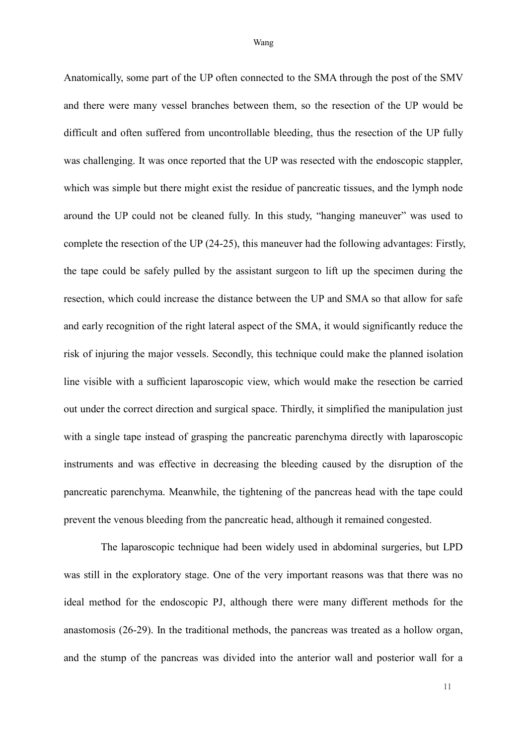Anatomically, some part of the UP often connected to the SMA through the post of the SMV and there were many vessel branches between them, so the resection of the UP would be difficult and often suffered from uncontrollable bleeding, thus the resection of the UP fully was challenging. It was once reported that the UP was resected with the endoscopic stappler, which was simple but there might exist the residue of pancreatic tissues, and the lymph node around the UP could not be cleaned fully. In this study, "hanging maneuver" was used to complete the resection of the UP (24-25), this maneuver had the following advantages: Firstly, the tape could be safely pulled by the assistant surgeon to lift up the specimen during the resection, which could increase the distance between the UP and SMA so that allow for safe and early recognition of the right lateral aspect of the SMA, it would significantly reduce the risk of injuring the major vessels. Secondly, this technique could make the planned isolation line visible with a sufficient laparoscopic view, which would make the resection be carried out under the correct direction and surgical space. Thirdly, it simplified the manipulation just with a single tape instead of grasping the pancreatic parenchyma directly with laparoscopic instruments and was effective in decreasing the bleeding caused by the disruption of the pancreatic parenchyma. Meanwhile, the tightening of the pancreas head with the tape could prevent the venous bleeding from the pancreatic head, although it remained congested.

The laparoscopic technique had been widely used in abdominal surgeries, but LPD was still in the exploratory stage. One of the very important reasons was that there was no ideal method for the endoscopic PJ, although there were many different methods for the anastomosis (26-29). In the traditional methods, the pancreas was treated as a hollow organ, and the stump of the pancreas was divided into the anterior wall and posterior wall for a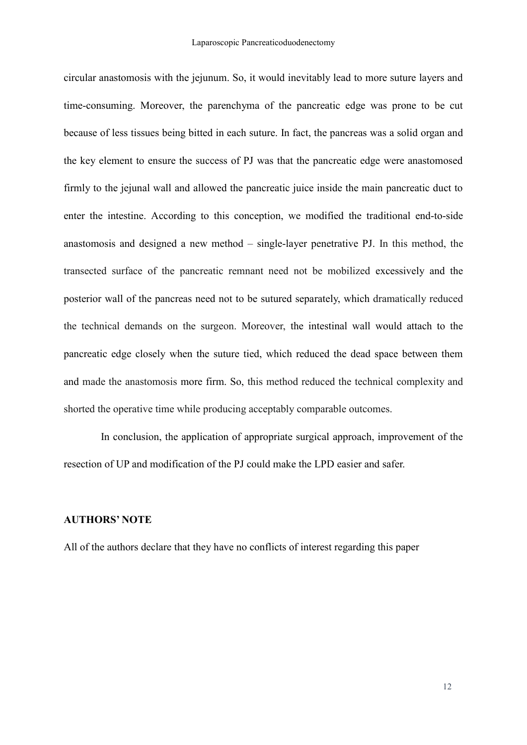circular anastomosis with the jejunum. So, it would inevitably lead to more suture layers and time-consuming. Moreover, the parenchyma of the pancreatic edge was prone to be cut because of less tissues being bitted in each suture. In fact, the pancreas was a solid organ and the key element to ensure the success of PJ was that the pancreatic edge were anastomosed firmly to the jejunal wall and allowed the pancreatic juice inside the main pancreatic duct to enter the intestine. According to this conception, we modified the traditional end-to-side anastomosis and designed a new method – single-layer penetrative PJ. In this method, the transected surface of the pancreatic remnant need not be mobilized excessively and the posterior wall of the pancreas need not to be sutured separately, which dramatically reduced the technical demands on the surgeon. Moreover, the intestinal wall would attach to the pancreatic edge closely when the suture tied, which reduced the dead space between them and made the anastomosis more firm. So, this method reduced the technical complexity and shorted the operative time while producing acceptably comparable outcomes.

In conclusion, the application of appropriate surgical approach, improvement of the resection of UP and modification of the PJ could make the LPD easier and safer.

## **AUTHORS' NOTE**

All of the authors declare that they have no conflicts of interest regarding this paper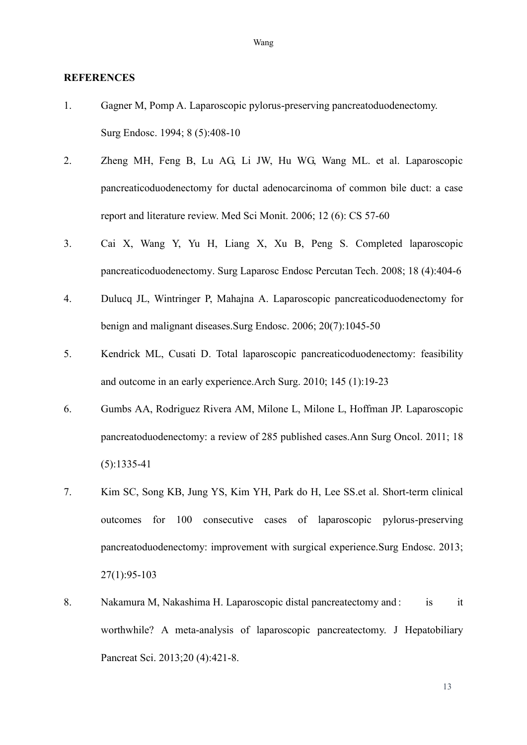#### **REFERENCES**

- 1. Gagner M, Pomp A. [Laparoscopic pylorus-preserving pancreatoduodenectomy.](http://www.ncbi.nlm.nih.gov/pubmed/7915434) Surg Endosc. 1994; 8 (5):408-10
- 2. Zheng MH, Feng B, Lu AG, Li JW, Hu WG, Wang ML. et al. Laparoscopic pancreaticoduodenectomy for ductal adenocarcinoma of common bile duct: a case report and literature review. Med Sci Monit. 2006; 12 (6): CS 57-60
- 3. Cai X, Wang Y, Yu H, Liang X, Xu B, Peng S. [Completed laparoscopic](http://www.ncbi.nlm.nih.gov/pubmed/18716544)  [pancreaticoduodenectomy.](http://www.ncbi.nlm.nih.gov/pubmed/18716544) Surg Laparosc Endosc Percutan Tech. 2008; 18 (4):404-6
- 4. Dulucq JL, Wintringer P, Mahajna A. [Laparoscopic pancreaticoduodenectomy](http://www.ncbi.nlm.nih.gov/pubmed/16736311) for [benign and malignant diseases.S](http://www.ncbi.nlm.nih.gov/pubmed/16736311)urg Endosc. 2006; 20(7):1045-50
- 5. Kendrick ML, Cusati D. [Total laparoscopic pancreaticoduodenectomy: feasibility](http://www.ncbi.nlm.nih.gov/pubmed/20083750)  [and outcome in an early experience.A](http://www.ncbi.nlm.nih.gov/pubmed/20083750)rch Surg. 2010; 145 (1):19-23
- 6. Gumbs AA, Rodriguez Rivera AM, Milone L, Milone L, Hoffman JP. [Laparoscopic](http://www.ncbi.nlm.nih.gov/pubmed/21207166)  [pancreatoduodenectomy: a review of 285 published cases.A](http://www.ncbi.nlm.nih.gov/pubmed/21207166)nn Surg Oncol. 2011; 18 (5):1335-41
- 7. Kim SC, Song KB, Jung YS, [Kim YH,](http://www.ncbi.nlm.nih.gov/pubmed/?term=Kim%20YH%5BAuthor%5D&cauthor=true&cauthor_uid=22752284) [Park do H,](http://www.ncbi.nlm.nih.gov/pubmed/?term=Park%20do%20H%5BAuthor%5D&cauthor=true&cauthor_uid=22752284) [Lee SS.](http://www.ncbi.nlm.nih.gov/pubmed/?term=Lee%20SS%5BAuthor%5D&cauthor=true&cauthor_uid=22752284)et al. [Short-term clinical](http://www.ncbi.nlm.nih.gov/pubmed/22752284)  [outcomes for 100 consecutive cases of laparoscopic pylorus-preserving](http://www.ncbi.nlm.nih.gov/pubmed/22752284)  [pancreatoduodenectomy: improvement with surgical experience.S](http://www.ncbi.nlm.nih.gov/pubmed/22752284)urg Endosc. 2013; 27(1):95-103
- 8. Nakamura M, Nakashima H. [Laparoscopic distal pancreatectomy and](http://www.ncbi.nlm.nih.gov/pubmed/23224732) : is it [worthwhile? A meta-analysis of laparoscopic pancreatectomy.](http://www.ncbi.nlm.nih.gov/pubmed/23224732) J Hepatobiliary Pancreat Sci. 2013;20 (4):421-8.

Wang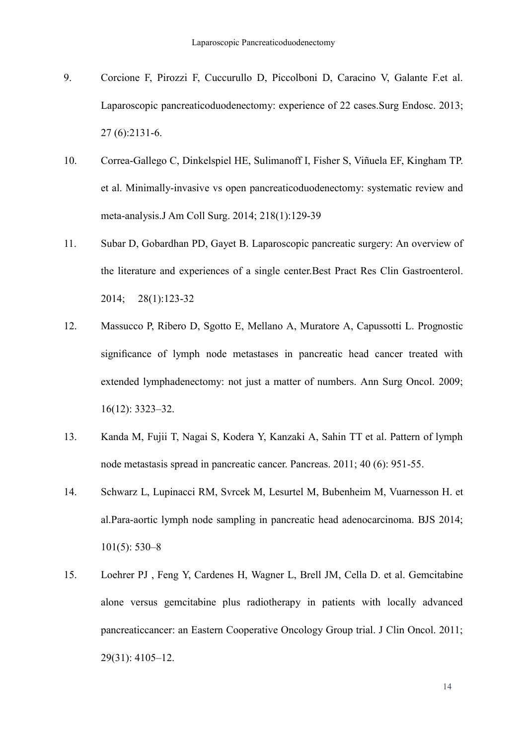- 9. Corcione F, Pirozzi F, Cuccurullo D, Piccolboni D, Caracino V, Galante F.et al. [Laparoscopic pancreaticoduodenectomy: experience of 22 cases.S](http://www.ncbi.nlm.nih.gov/pubmed/23355144)urg Endosc. 2013; 27 (6):2131-6.
- 10. Correa-Gallego C, Dinkelspiel HE, Sulimanoff I, [Fisher S,](http://www.ncbi.nlm.nih.gov/pubmed/?term=Fisher%20S%5BAuthor%5D&cauthor=true&cauthor_uid=24275074) [Viñuela EF,](http://www.ncbi.nlm.nih.gov/pubmed/?term=Vi%C3%B1uela%20EF%5BAuthor%5D&cauthor=true&cauthor_uid=24275074) [Kingham TP.](http://www.ncbi.nlm.nih.gov/pubmed/?term=Kingham%20TP%5BAuthor%5D&cauthor=true&cauthor_uid=24275074) et al. [Minimally-invasive vs open pancreaticoduodenectomy: systematic review and](http://www.ncbi.nlm.nih.gov/pubmed/24275074)  [meta-analysis.J](http://www.ncbi.nlm.nih.gov/pubmed/24275074) Am Coll Surg. 2014; 218(1):129-39
- 11. Subar D, Gobardhan PD, Gayet B. [Laparoscopic pancreatic surgery: An overview of](http://www.ncbi.nlm.nih.gov/pubmed/24485260)  [the literature and experiences of a single center.B](http://www.ncbi.nlm.nih.gov/pubmed/24485260)est Pract Res Clin Gastroenterol. 2014; 28(1):123-32
- 12. Massucco P, Ribero D, Sgotto E, [Mellano A,](http://www.ncbi.nlm.nih.gov/pubmed/?term=Mellano%20A%5BAuthor%5D&cauthor=true&cauthor_uid=19777195) [Muratore A,](http://www.ncbi.nlm.nih.gov/pubmed/?term=Muratore%20A%5BAuthor%5D&cauthor=true&cauthor_uid=19777195) [Capussotti L.](http://www.ncbi.nlm.nih.gov/pubmed/?term=Capussotti%20L%5BAuthor%5D&cauthor=true&cauthor_uid=19777195) Prognostic significance of lymph node metastases in pancreatic head cancer treated with extended lymphadenectomy: not just a matter of numbers. Ann Surg Oncol. 2009; 16(12): 3323–32.
- 13. Kanda M, Fujii T, Nagai S, Kodera Y, Kanzaki A, Sahin TT et al. Pattern of lymph node metastasis spread in pancreatic cancer. Pancreas. 2011; 40 (6): 951-55.
- 14. Schwarz L, Lupinacci RM, Svrcek M, [Lesurtel M,](http://www.ncbi.nlm.nih.gov/pubmed/?term=Lesurtel%20M%5BAuthor%5D&cauthor=true&cauthor_uid=24633831) [Bubenheim M,](http://www.ncbi.nlm.nih.gov/pubmed/?term=Bubenheim%20M%5BAuthor%5D&cauthor=true&cauthor_uid=24633831) [Vuarnesson H.](http://www.ncbi.nlm.nih.gov/pubmed/?term=Vuarnesson%20H%5BAuthor%5D&cauthor=true&cauthor_uid=24633831) et al.Para-aortic lymph node sampling in pancreatic head adenocarcinoma. BJS 2014; 101(5): 530–8
- 15. Loehrer PJ , Feng Y, Cardenes H, [Wagner L,](http://www.ncbi.nlm.nih.gov/pubmed/?term=Wagner%20L%5BAuthor%5D&cauthor=true&cauthor_uid=21969502) [Brell JM,](http://www.ncbi.nlm.nih.gov/pubmed/?term=Brell%20JM%5BAuthor%5D&cauthor=true&cauthor_uid=21969502) [Cella D.](http://www.ncbi.nlm.nih.gov/pubmed/?term=Cella%20D%5BAuthor%5D&cauthor=true&cauthor_uid=21969502) et al. Gemcitabine alone versus gemcitabine plus radiotherapy in patients with locally advanced pancreaticcancer: an Eastern Cooperative Oncology Group trial. J Clin Oncol. 2011; 29(31): 4105–12.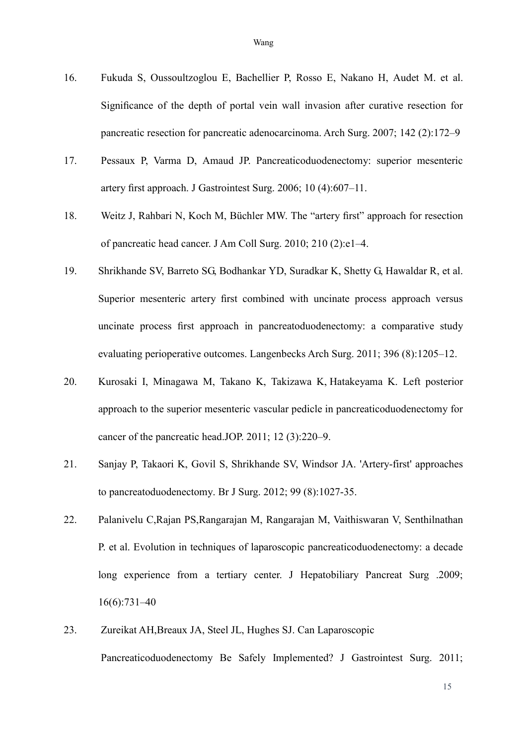- 16. Fukuda S, Oussoultzoglou E, Bachellier P, [Rosso E,](http://www.ncbi.nlm.nih.gov/pubmed/?term=Rosso%20E%5BAuthor%5D&cauthor=true&cauthor_uid=17309969) [Nakano H,](http://www.ncbi.nlm.nih.gov/pubmed/?term=Nakano%20H%5BAuthor%5D&cauthor=true&cauthor_uid=17309969) [Audet M.](http://www.ncbi.nlm.nih.gov/pubmed/?term=Audet%20M%5BAuthor%5D&cauthor=true&cauthor_uid=17309969) et al. Significance of the depth of portal vein wall invasion after curative resection for
- 17. Pessaux P, Varma D, Amaud JP. Pancreaticoduodenectomy: superior mesenteric artery first approach. J Gastrointest Surg. 2006; 10 (4):607–11.

pancreatic resection for pancreatic adenocarcinoma. Arch Surg. 2007; 142 (2):172–9

- 18. Weitz J, Rahbari N, Koch M, [Büchler MW](http://www.ncbi.nlm.nih.gov/pubmed/?term=B%C3%BCchler%20MW%5BAuthor%5D&cauthor=true&cauthor_uid=20113929). The "artery first" approach for resection of pancreatic head cancer. J Am Coll Surg. 2010; 210 (2):e1–4.
- 19. Shrikhande SV, Barreto SG, Bodhankar YD, [Suradkar K,](http://www.ncbi.nlm.nih.gov/pubmed/?term=Suradkar%20K%5BAuthor%5D&cauthor=true&cauthor_uid=21739303) [Shetty G,](http://www.ncbi.nlm.nih.gov/pubmed/?term=Shetty%20G%5BAuthor%5D&cauthor=true&cauthor_uid=21739303) [Hawaldar R,](http://www.ncbi.nlm.nih.gov/pubmed/?term=Hawaldar%20R%5BAuthor%5D&cauthor=true&cauthor_uid=21739303) et al. Superior mesenteric artery first combined with uncinate process approach versus uncinate process first approach in pancreatoduodenectomy: a comparative study evaluating perioperative outcomes. Langenbecks Arch Surg. 2011; 396 (8):1205–12.
- 20. Kurosaki I, Minagawa M, Takano K, [Takizawa K,](http://www.ncbi.nlm.nih.gov/pubmed/?term=Takizawa%20K%5bAuthor%5d&cauthor=true&cauthor_uid=21546696) [Hatakeyama K.](http://www.ncbi.nlm.nih.gov/pubmed/?term=Hatakeyama%20K%5bAuthor%5d&cauthor=true&cauthor_uid=21546696) Left posterior approach to the superior mesenteric vascular pedicle in pancreaticoduodenectomy for cancer of the pancreatic head.JOP. 2011; 12 (3):220–9.
- 21. [Sanjay P,](http://www.ncbi.nlm.nih.gov/pubmed?term=Sanjay%20P%5BAuthor%5D&cauthor=true&cauthor_uid=22569924) [Takaori K,](http://www.ncbi.nlm.nih.gov/pubmed?term=Takaori%20K%5BAuthor%5D&cauthor=true&cauthor_uid=22569924) [Govil S,](http://www.ncbi.nlm.nih.gov/pubmed?term=Govil%20S%5BAuthor%5D&cauthor=true&cauthor_uid=22569924) Shrikhande SV, Windsor JA. 'Artery-first' approaches to pancreatoduodenectomy. [Br J Surg.](http://www.ncbi.nlm.nih.gov/pubmed/22569924/##) 2012; 99 (8):1027-35.
- 22. Palanivelu C,Rajan PS,Rangarajan M, Rangarajan M, Vaithiswaran V, Senthilnathan P. et al. Evolution in techniques of laparoscopic pancreaticoduodenectomy: a decade long experience from a tertiary center. J Hepatobiliary Pancreat Surg .2009; 16(6):731–40
- 23. Zureikat AH,Breaux JA, Steel JL, [Hughes SJ.](http://www.ncbi.nlm.nih.gov/pubmed/?term=Hughes%20SJ%5bAuthor%5d&cauthor=true&cauthor_uid=21538192) Can Laparoscopic Pancreaticoduodenectomy Be Safely Implemented? J Gastrointest Surg. 2011;